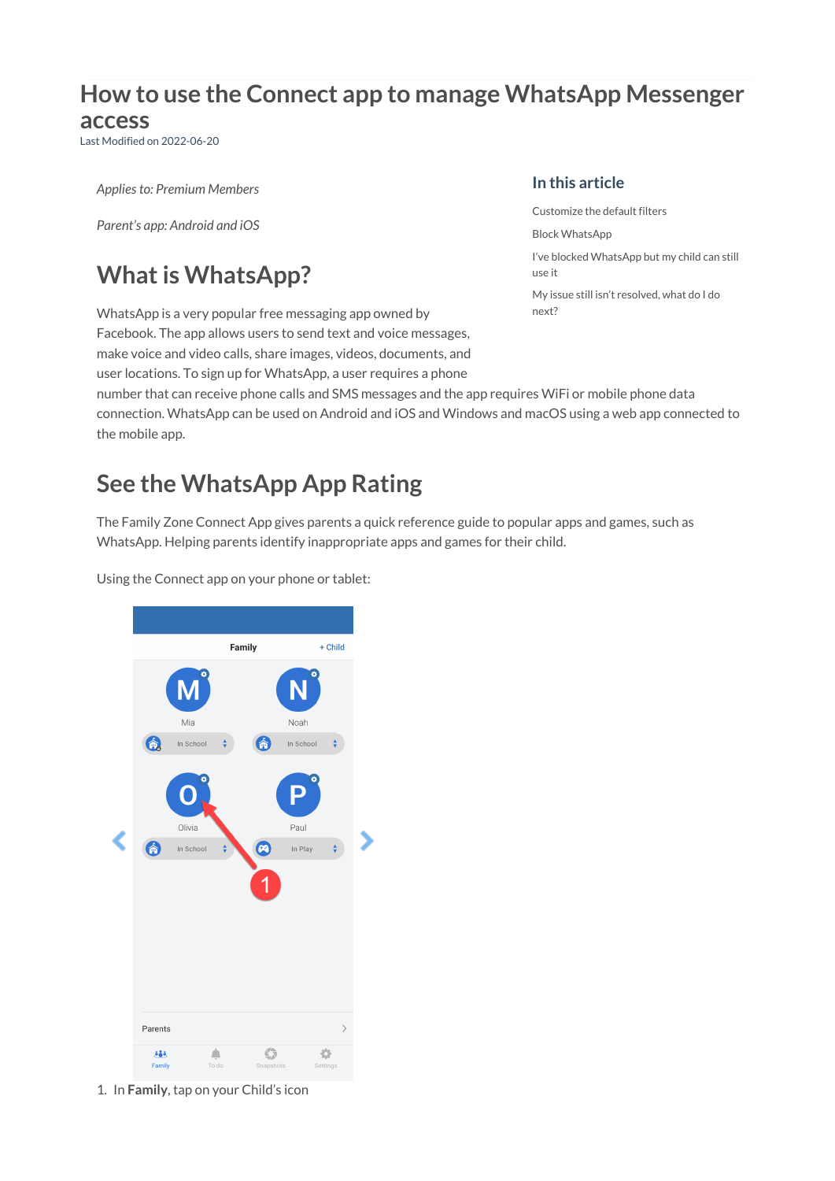# **How to use the Connect app to manage WhatsApp Messenger**

#### **access**

Last Modified on 2022-06-20

*Applies to: Premium Members*

*Parent's app: Android and iOS*

## **What is WhatsApp?**

WhatsApp is a very popular free messaging app owned by Facebook. The app allows users to send text and voice messages, make voice and video calls, share images, videos, documents, and

user locations. To sign up for WhatsApp, a user requires a phone

#### **In this article**

[Customize](http://docs.familyzone.com/#customize-the-default-filters) the default filters Block [WhatsApp](http://docs.familyzone.com/#block-whatsapp) I've blocked [WhatsApp](http://docs.familyzone.com/#i%E2%80%99ve-blocked-whatsapp-but-my-child-can-still-use-it) but my child can still use it My issue still isn't [resolved,](http://docs.familyzone.com/#my-issue-still-isn%E2%80%99t-resolved-what-do-i-do-next-) what do I do next?

number that can receive phone calls and SMS messages and the app requires WiFi or mobile phone data connection. WhatsApp can be used on Android and iOS and Windows and macOS using a web app connected to the mobile app.

## **See the WhatsApp App Rating**

The Family Zone Connect App gives parents a quick reference guide to popular apps and games, such as WhatsApp. Helping parents identify inappropriate apps and games for their child.

Using the Connect app on your phone or tablet:



1. In **Family**, tap on your Child's icon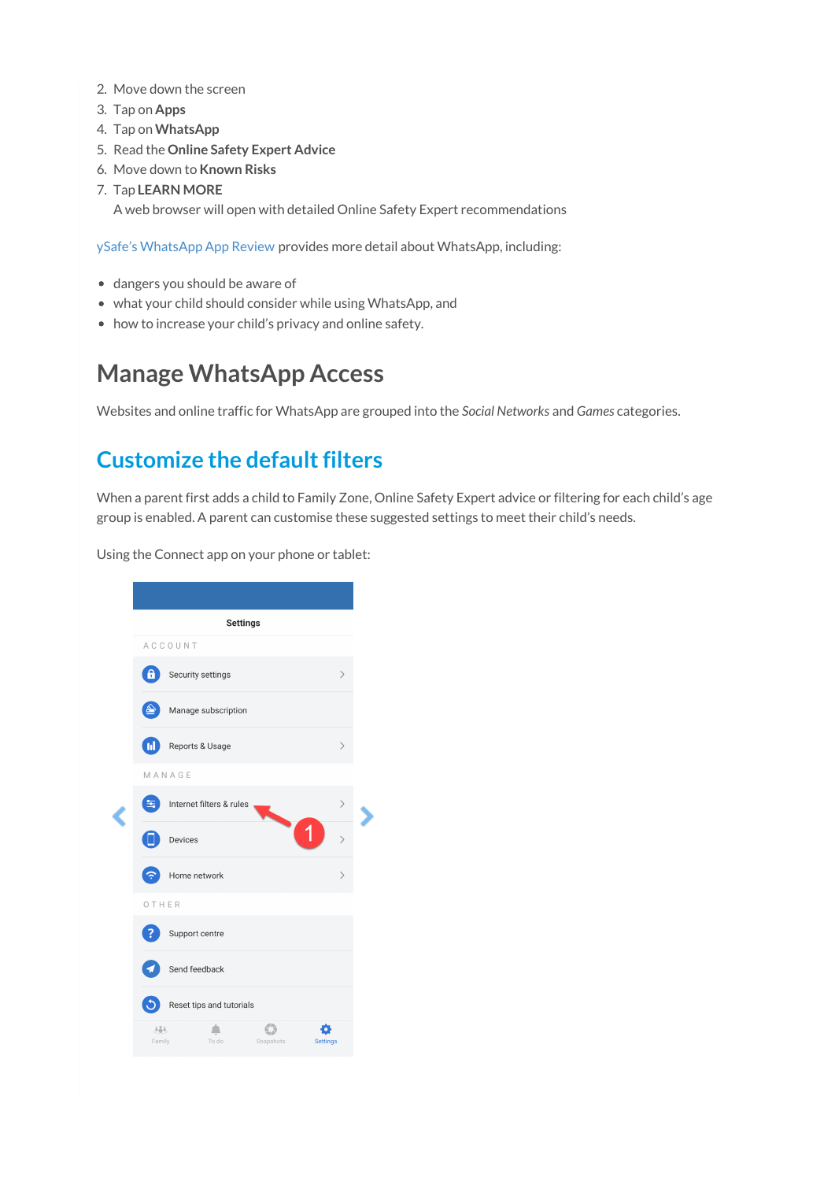- 2. Move down the screen
- 3. Tap on **Apps**
- 4. Tap on **WhatsApp**
- 5. Read the **Online Safety Expert Advice**
- 6. Move down to **Known Risks**
- 7. Tap **LEARN MORE**

A web browser will open with detailed Online Safety Expert recommendations

ySafe's [WhatsApp](https://cybersafetyhub.ysafe.com.au/web/ysafe/app-review/whatsapp-messenger) App Review provides more detail about WhatsApp, including:

- dangers you should be aware of
- what your child should consider while using WhatsApp, and
- how to increase your child's privacy and online safety.

### **Manage WhatsApp Access**

Websites and online traffic for WhatsApp are grouped into the *Social Networks* and *Games* categories.

#### **Customize the default filters**

When a parent first adds a child to Family Zone, Online Safety Expert advice or filtering for each child's age group is enabled. A parent can customise these suggested settings to meet their child's needs.

Using the Connect app on your phone or tablet:

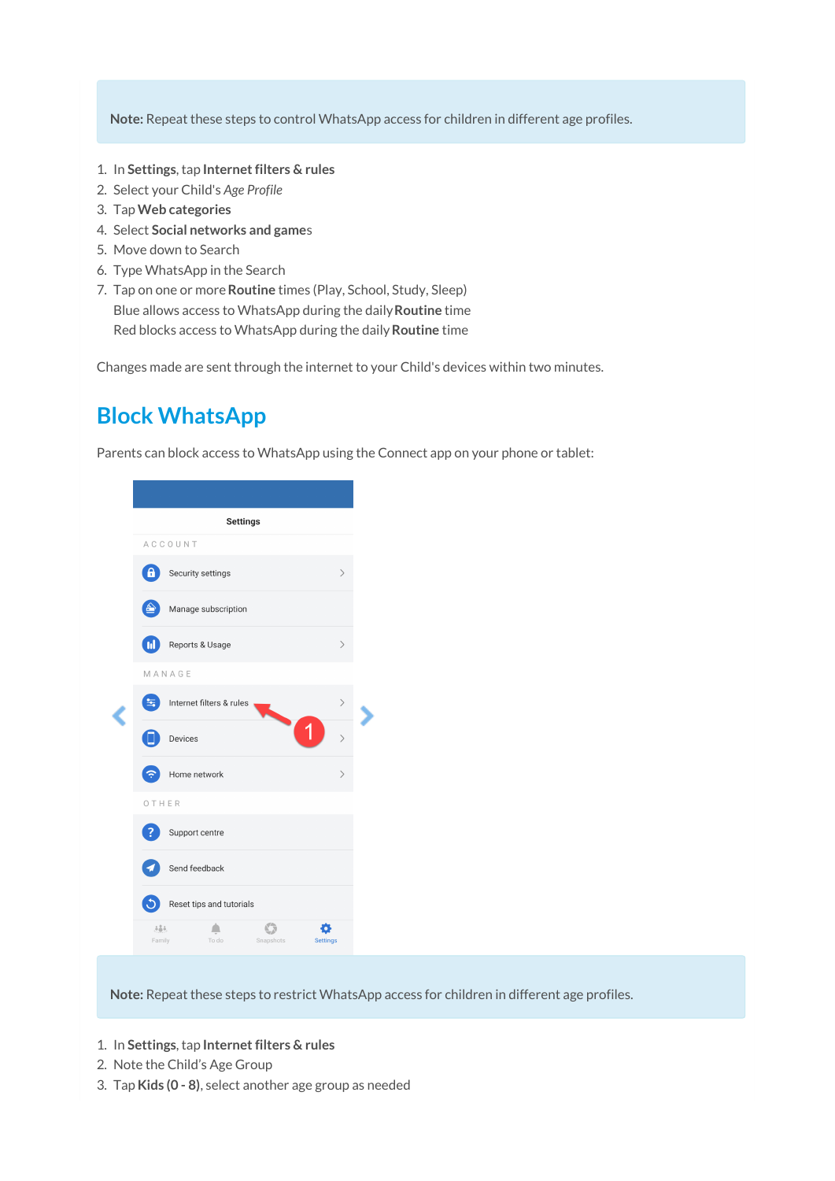**Note:** Repeat these steps to control WhatsApp access for children in different age profiles.

- 1. In **Settings**, tap **Internet filters & rules**
- 2. Select your Child's *Age Profile*
- 3. Tap**Web categories**
- 4. Select **Social networks and game**s
- 5. Move down to Search
- 6. Type WhatsApp in the Search
- 7. Tap on one or more**Routine** times (Play, School, Study, Sleep) Blue allows access to WhatsApp during the daily**Routine** time

Red blocks access to WhatsApp during the daily**Routine** time

Changes made are sent through the internet to your Child's devices within two minutes.

#### **Block WhatsApp**

Parents can block access to WhatsApp using the Connect app on your phone or tablet:

| <b>Settings</b> |                                       |                              |
|-----------------|---------------------------------------|------------------------------|
|                 | ACCOUNT                               |                              |
| θ               | Security settings                     | $\mathcal{P}$                |
|                 | Manage subscription                   |                              |
| $\mathbf{M}$    | Reports & Usage                       | ⟩                            |
|                 | MANAGE                                |                              |
|                 | Internet filters & rules              | $\left\langle \right\rangle$ |
|                 | Devices                               | $\mathcal{P}$                |
|                 | Home network                          | ⟩                            |
| OTHER           |                                       |                              |
|                 | Support centre                        |                              |
|                 | Send feedback                         |                              |
|                 | Reset tips and tutorials              |                              |
| 383.<br>Family  | To do<br>Snapshots<br><b>Settings</b> |                              |

**Note:** Repeat these steps to restrict WhatsApp access for children in different age profiles.

- 1. In **Settings**, tap **Internet filters & rules**
- 2. Note the Child's Age Group
- 3. Tap**Kids (0 - 8)**, select another age group as needed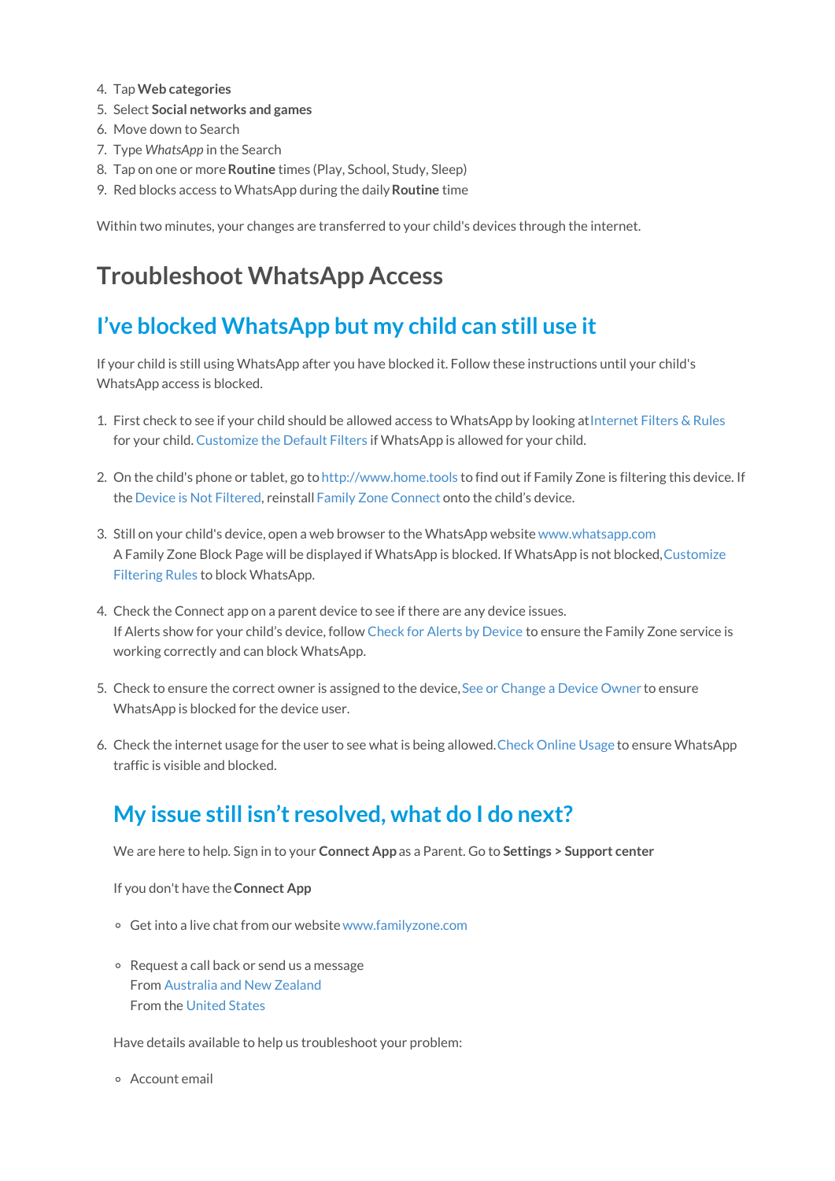- 4. Tap**Web categories**
- 5. Select **Social networks and games**
- 6. Move down to Search
- 7. Type *WhatsApp* in the Search
- 8. Tap on one or more**Routine** times (Play, School, Study, Sleep)
- 9. Red blocks access to WhatsApp during the daily**Routine** time

Within two minutes, your changes are transferred to your child's devices through the internet.

### **Troubleshoot WhatsApp Access**

#### **I've blocked WhatsApp but my child can still use it**

If your child is still using WhatsApp after you have blocked it. Follow these instructions until your child's WhatsApp access is blocked.

- 1. First check to see if your child should be allowed access to WhatsApp by looking at[Internet](https://docs.familyzone.com/help/customize-filtering-rules#internet-filters-rules) Filters & Rules for your child. [Customize](https://docs.familyzone.com/help/customize-filtering-rules#customize-the-default-filters) the Default Filters if WhatsApp is allowed for your child.
- 2. On the child's phone or tablet, go to [http://www.home.tools](http://www.home.tools/) to find out if Family Zone is filtering this device. If the Device is Not [Filtered](https://docs.familyzone.com/help/troubleshooting-device-not-filtered), reinstall Family Zone [Connect](https://docs.familyzone.com/help/family-zone-removed-troubleshooting) onto the child's device.
- 3. Still on your child's device, open a web browser to the WhatsApp website [www.whatsapp.com](http://www.whatsapp.com) A Family Zone Block Page will be displayed if WhatsApp is blocked. If WhatsApp is not [blocked,Customize](https://docs.familyzone.com/help/customize-filtering-rules) Filtering Rules to block WhatsApp.
- 4. Check the Connect app on a parent device to see if there are any device issues. If Alerts show for your child's device, follow Check for Alerts by [Device](https://docs.familyzone.com/help/check-alerts-by-device) to ensure the Family Zone service is working correctly and can block WhatsApp.
- 5. Check to ensure the correct owner is assigned to the device, See or [Change](https://docs.familyzone.com/help/see-change-device-owner) a Device Owner to ensure WhatsApp is blocked for the device user.
- 6. Check the internet usage for the user to see what is being allowed.Check [Online](https://docs.familyzone.com/help/see-usage) Usage to ensure WhatsApp traffic is visible and blocked.

#### **My issue still isn't resolved, what do I do next?**

We are here to help. Sign in to your **Connect App** as a Parent. Go to **Settings > Support center**

If you don't have the**Connect App**

- Get into a live chat from our website[www.familyzone.com](https://www.familyzone.com/)
- Request a call back or send us a message From [Australia](https://www.familyzone.com/anz/families/contact-us) and New Zealand From the [United](https://www.familyzone.com/us/families/contact-us) States

Have details available to help us troubleshoot your problem:

Account email